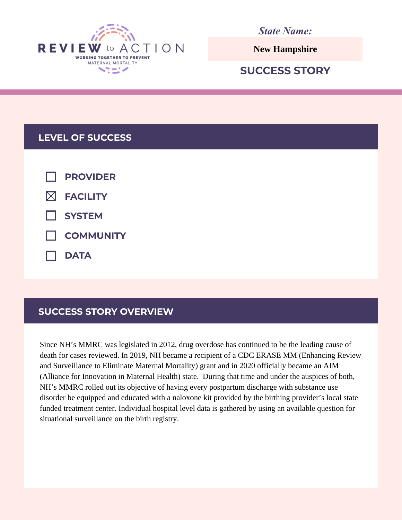

*State Name:*

**New Hampshire**

# **SUCCESS STORY**

### **LEVEL OF SUCCESS**

| $\Box$ PROVIDER      |
|----------------------|
| $\boxtimes$ FACILITY |
| $\Box$ SYSTEM        |
| <b>NUMBER</b>        |
| $\Box$ DATA          |

## **SUCCESS STORY OVERVIEW**

Since NH's MMRC was legislated in 2012, drug overdose has continued to be the leading cause of death for cases reviewed. In 2019, NH became a recipient of a CDC ERASE MM (Enhancing Review and Surveillance to Eliminate Maternal Mortality) grant and in 2020 officially became an AIM (Alliance for Innovation in Maternal Health) state. During that time and under the auspices of both, NH's MMRC rolled out its objective of having every postpartum discharge with substance use disorder be equipped and educated with a naloxone kit provided by the birthing provider's local state funded treatment center. Individual hospital level data is gathered by using an available question for situational surveillance on the birth registry.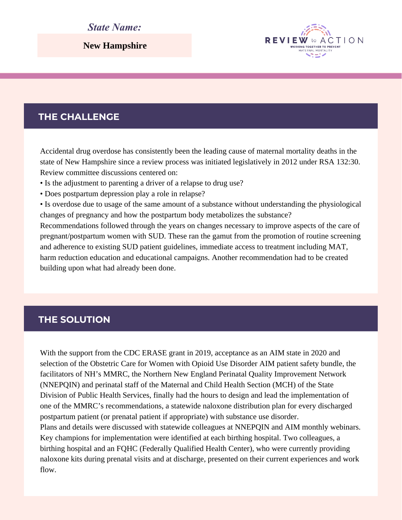#### *State Name:*

#### **THE CHALLENGE**

Accidental drug overdose has consistently been the leading cause of maternal mortality deaths in the state of New Hampshire since a review process was initiated legislatively in 2012 under RSA 132:30. Review committee discussions centered on:

**REVIEW** 

WORKING TOGETHER TO RREVEN

ACTION

- Is the adjustment to parenting a driver of a relapse to drug use?
- Does postpartum depression play a role in relapse?

• Is overdose due to usage of the same amount of a substance without understanding the physiological changes of pregnancy and how the postpartum body metabolizes the substance?

Recommendations followed through the years on changes necessary to improve aspects of the care of pregnant/postpartum women with SUD. These ran the gamut from the promotion of routine screening and adherence to existing SUD patient guidelines, immediate access to treatment including MAT, harm reduction education and educational campaigns. Another recommendation had to be created **New Hampshire**<br> **CHALLENGE**<br>
Accidental drug overdose has consistently l<br>
state of New Hampshire since a review pro<br>
Review committee discussions centered on<br>
• Is the adjustment to parenting a driver of  $\cdot$ <br>
• Does post

#### **THE SOLUTION**

With the support from the CDC ERASE grant in 2019, acceptance as an AIM state in 2020 and selection of the Obstetric Care for Women with Opioid Use Disorder AIM patient safety bundle, the facilitators of NH's MMRC, the Northern New England Perinatal Quality Improvement Network (NNEPQIN) and perinatal staff of the Maternal and Child Health Section (MCH) of the State Division of Public Health Services, finally had the hours to design and lead the implementation of one of the MMRC's recommendations, a statewide naloxone distribution plan for every discharged postpartum patient (or prenatal patient if appropriate) with substance use disorder. Plans and details were discussed with statewide colleagues at NNEPQIN and AIM monthly webinars. Key champions for implementation were identified at each birthing hospital. Two colleagues, a birthing hospital and an FQHC (Federally Qualified Health Center), who were currently providing naloxone kits during prenatal visits and at discharge, presented on their current experiences and work flow.